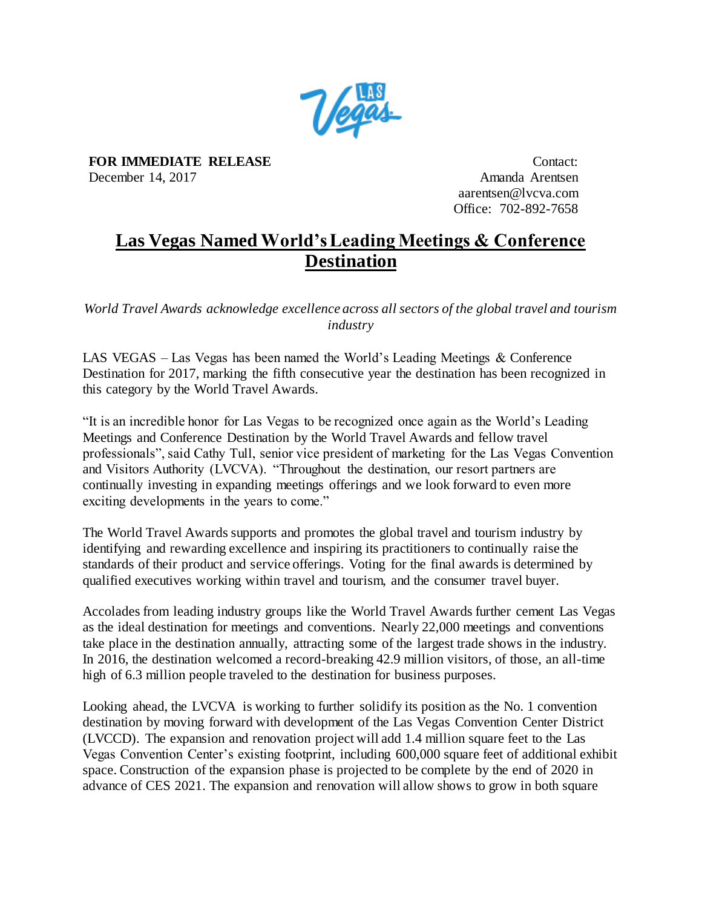

**FOR IMMEDIATE RELEASE** December 14, 2017

Contact: Amanda Arentsen aarentsen@lvcva.com Office: 702-892-7658

## **Las Vegas Named World's Leading Meetings & Conference Destination**

*World Travel Awards acknowledge excellence across all sectors of the global travel and tourism industry* 

LAS VEGAS – Las Vegas has been named the World's Leading Meetings & Conference Destination for 2017, marking the fifth consecutive year the destination has been recognized in this category by the World Travel Awards.

"It is an incredible honor for Las Vegas to be recognized once again as the World's Leading Meetings and Conference Destination by the World Travel Awards and fellow travel professionals", said Cathy Tull, senior vice president of marketing for the Las Vegas Convention and Visitors Authority (LVCVA). "Throughout the destination, our resort partners are continually investing in expanding meetings offerings and we look forward to even more exciting developments in the years to come."

The World Travel Awards supports and promotes the global travel and tourism industry by identifying and rewarding excellence and inspiring its practitioners to continually raise the standards of their product and service offerings. Voting for the final awards is determined by qualified executives working within travel and tourism, and the consumer travel buyer.

Accolades from leading industry groups like the World Travel Awards further cement Las Vegas as the ideal destination for meetings and conventions. Nearly 22,000 meetings and conventions take place in the destination annually, attracting some of the largest trade shows in the industry. In 2016, the destination welcomed a record-breaking 42.9 million visitors, of those, an all-time high of 6.3 million people traveled to the destination for business purposes.

Looking ahead, the LVCVA is working to further solidify its position as the No. 1 convention destination by moving forward with development of the Las Vegas Convention Center District (LVCCD). The expansion and renovation project will add 1.4 million square feet to the Las Vegas Convention Center's existing footprint, including 600,000 square feet of additional exhibit space. Construction of the expansion phase is projected to be complete by the end of 2020 in advance of CES 2021. The expansion and renovation will allow shows to grow in both square